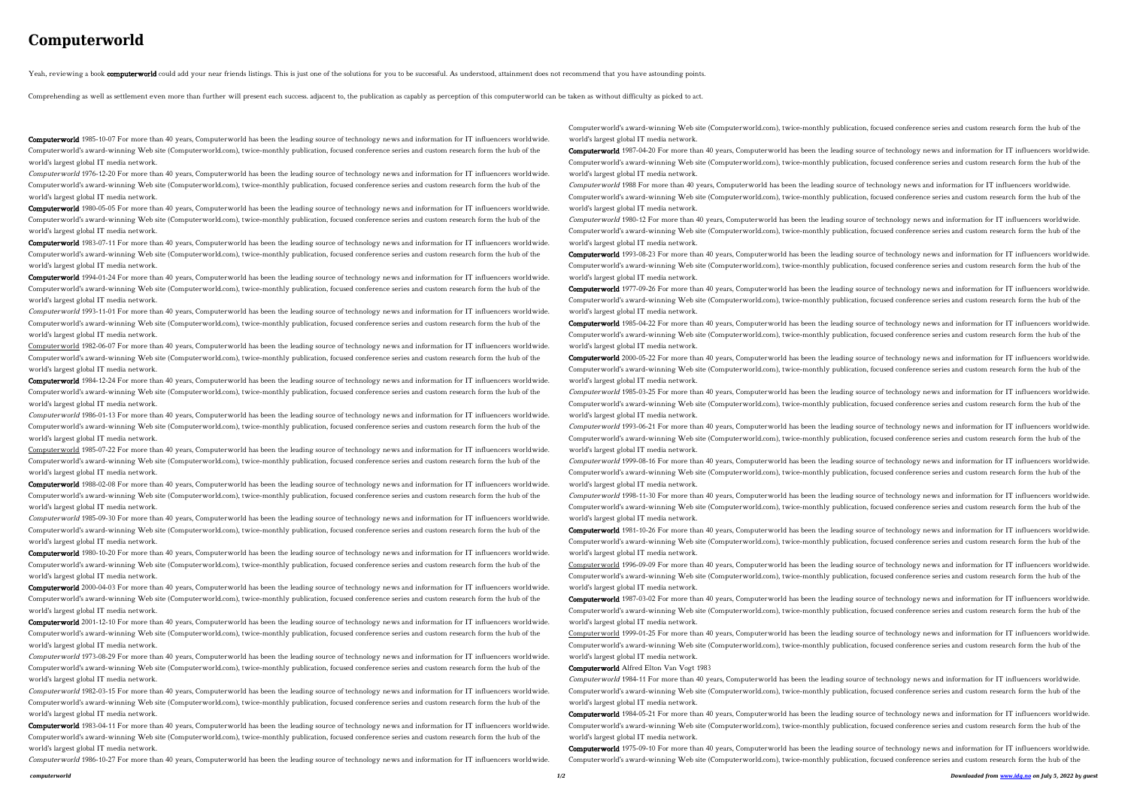## **Computerworld**

Yeah, reviewing a book computerworld could add your near friends listings. This is just one of the solutions for you to be successful. As understood, attainment does not recommend that you have astounding points.

Comprehending as well as settlement even more than further will present each success. adjacent to, the publication as capably as perception of this computerworld can be taken as without difficulty as picked to act.

Computerworld 1985-10-07 For more than 40 years, Computerworld has been the leading source of technology news and information for IT influencers worldwide. Computerworld's award-winning Web site (Computerworld.com), twice-monthly publication, focused conference series and custom research form the hub of the world's largest global IT media network.

Computerworld 1976-12-20 For more than 40 years, Computerworld has been the leading source of technology news and information for IT influencers worldwide. Computerworld's award-winning Web site (Computerworld.com), twice-monthly publication, focused conference series and custom research form the hub of the world's largest global IT media network.

Computerworld 1980-05-05 For more than 40 years, Computerworld has been the leading source of technology news and information for IT influencers worldwide. Computerworld's award-winning Web site (Computerworld.com), twice-monthly publication, focused conference series and custom research form the hub of the world's largest global IT media network.

Computerworld 1983-07-11 For more than 40 years, Computerworld has been the leading source of technology news and information for IT influencers worldwide. Computerworld's award-winning Web site (Computerworld.com), twice-monthly publication, focused conference series and custom research form the hub of the world's largest global IT media network.

Computerworld 1994-01-24 For more than 40 years, Computerworld has been the leading source of technology news and information for IT influencers worldwide. Computerworld's award-winning Web site (Computerworld.com), twice-monthly publication, focused conference series and custom research form the hub of the world's largest global IT media network.

Computerworld 1993-11-01 For more than 40 years, Computerworld has been the leading source of technology news and information for IT influencers worldwide. Computerworld's award-winning Web site (Computerworld.com), twice-monthly publication, focused conference series and custom research form the hub of the world's largest global IT media network.

Computerworld 1984-12-24 For more than 40 years, Computerworld has been the leading source of technology news and information for IT influencers worldwide. Computerworld's award-winning Web site (Computerworld.com), twice-monthly publication, focused conference series and custom research form the hub of the world's largest global IT media network.

Computerworld 1986-01-13 For more than 40 years, Computerworld has been the leading source of technology news and information for IT influencers worldwide. Computerworld's award-winning Web site (Computerworld.com), twice-monthly publication, focused conference series and custom research form the hub of the world's largest global IT media network.

Computerworld 1980-10-20 For more than 40 years, Computerworld has been the leading source of technology news and information for IT influencers worldwide. Computerworld's award-winning Web site (Computerworld.com), twice-monthly publication, focused conference series and custom research form the hub of the world's largest global IT media network.

Computerworld 1982-06-07 For more than 40 years, Computerworld has been the leading source of technology news and information for IT influencers worldwide. Computerworld's award-winning Web site (Computerworld.com), twice-monthly publication, focused conference series and custom research form the hub of the world's largest global IT media network.

Computerworld 1983-04-11 For more than 40 years, Computerworld has been the leading source of technology news and information for IT influencers worldwide. Computerworld's award-winning Web site (Computerworld.com), twice-monthly publication, focused conference series and custom research form the hub of the world's largest global IT media network.

Computerworld 1987-04-20 For more than 40 years, Computerworld has been the leading source of technology news and information for IT influencers worldwide. Computerworld's award-winning Web site (Computerworld.com), twice-monthly publication, focused conference series and custom research form the hub of the world's largest global IT media network.

Computerworld 1985-07-22 For more than 40 years, Computerworld has been the leading source of technology news and information for IT influencers worldwide. Computerworld's award-winning Web site (Computerworld.com), twice-monthly publication, focused conference series and custom research form the hub of the world's largest global IT media network.

Computerworld 1988-02-08 For more than 40 years, Computerworld has been the leading source of technology news and information for IT influencers worldwide. Computerworld's award-winning Web site (Computerworld.com), twice-monthly publication, focused conference series and custom research form the hub of the world's largest global IT media network.

Computerworld 1985-09-30 For more than 40 years, Computerworld has been the leading source of technology news and information for IT influencers worldwide. Computerworld's award-winning Web site (Computerworld.com), twice-monthly publication, focused conference series and custom research form the hub of the world's largest global IT media network.

Computerworld 2000-04-03 For more than 40 years, Computerworld has been the leading source of technology news and information for IT influencers worldwide. Computerworld's award-winning Web site (Computerworld.com), twice-monthly publication, focused conference series and custom research form the hub of the world's largest global IT media network.

Computerworld 2001-12-10 For more than 40 years, Computerworld has been the leading source of technology news and information for IT influencers worldwide. Computerworld's award-winning Web site (Computerworld.com), twice-monthly publication, focused conference series and custom research form the hub of the world's largest global IT media network.

Computerworld 1973-08-29 For more than 40 years, Computerworld has been the leading source of technology news and information for IT influencers worldwide. Computerworld's award-winning Web site (Computerworld.com), twice-monthly publication, focused conference series and custom research form the hub of the world's largest global IT media network.

Computerworld 1982-03-15 For more than 40 years, Computerworld has been the leading source of technology news and information for IT influencers worldwide. Computerworld's award-winning Web site (Computerworld.com), twice-monthly publication, focused conference series and custom research form the hub of the world's largest global IT media network.

Computerworld 1986-10-27 For more than 40 years, Computerworld has been the leading source of technology news and information for IT influencers worldwide.

Computerworld's award-winning Web site (Computerworld.com), twice-monthly publication, focused conference series and custom research form the hub of the world's largest global IT media network.

Computerworld 1988 For more than 40 years, Computerworld has been the leading source of technology news and information for IT influencers worldwide. Computerworld's award-winning Web site (Computerworld.com), twice-monthly publication, focused conference series and custom research form the hub of the world's largest global IT media network.

Computerworld 1980-12 For more than 40 years, Computerworld has been the leading source of technology news and information for IT influencers worldwide. Computerworld's award-winning Web site (Computerworld.com), twice-monthly publication, focused conference series and custom research form the hub of the world's largest global IT media network.

Computerworld 1993-08-23 For more than 40 years, Computerworld has been the leading source of technology news and information for IT influencers worldwide. Computerworld's award-winning Web site (Computerworld.com), twice-monthly publication, focused conference series and custom research form the hub of the

world's largest global IT media network. Computerworld 1977-09-26 For more than 40 years, Computerworld has been the leading source of technology news and information for IT influencers worldwide. Computerworld's award-winning Web site (Computerworld.com), twice-monthly publication, focused conference series and custom research form the hub of the world's largest global IT media network.

Computerworld 1985-04-22 For more than 40 years, Computerworld has been the leading source of technology news and information for IT influencers worldwide. Computerworld's award-winning Web site (Computerworld.com), twice-monthly publication, focused conference series and custom research form the hub of the world's largest global IT media network. Computerworld 2000-05-22 For more than 40 years, Computerworld has been the leading source of technology news and information for IT influencers worldwide.

Computerworld's award-winning Web site (Computerworld.com), twice-monthly publication, focused conference series and custom research form the hub of the world's largest global IT media network.

Computerworld 1985-03-25 For more than 40 years, Computerworld has been the leading source of technology news and information for IT influencers worldwide. Computerworld's award-winning Web site (Computerworld.com), twice-monthly publication, focused conference series and custom research form the hub of the world's largest global IT media network.

Computerworld 1993-06-21 For more than 40 years, Computerworld has been the leading source of technology news and information for IT influencers worldwide. Computerworld's award-winning Web site (Computerworld.com), twice-monthly publication, focused conference series and custom research form the hub of the world's largest global IT media network.

Computerworld 1999-08-16 For more than 40 years, Computerworld has been the leading source of technology news and information for IT influencers worldwide. Computerworld's award-winning Web site (Computerworld.com), twice-monthly publication, focused conference series and custom research form the hub of the world's largest global IT media network.

Computerworld 1998-11-30 For more than 40 years, Computerworld has been the leading source of technology news and information for IT influencers worldwide. Computerworld's award-winning Web site (Computerworld.com), twice-monthly publication, focused conference series and custom research form the hub of the world's largest global IT media network.

Computerworld 1981-10-26 For more than 40 years, Computerworld has been the leading source of technology news and information for IT influencers worldwide. Computerworld's award-winning Web site (Computerworld.com), twice-monthly publication, focused conference series and custom research form the hub of the world's largest global IT media network.

Computerworld 1996-09-09 For more than 40 years, Computerworld has been the leading source of technology news and information for IT influencers worldwide. Computerworld's award-winning Web site (Computerworld.com), twice-monthly publication, focused conference series and custom research form the hub of the world's largest global IT media network.

Computerworld 1987-03-02 For more than 40 years, Computerworld has been the leading source of technology news and information for IT influencers worldwide. Computerworld's award-winning Web site (Computerworld.com), twice-monthly publication, focused conference series and custom research form the hub of the world's largest global IT media network.

Computerworld 1999-01-25 For more than 40 years, Computerworld has been the leading source of technology news and information for IT influencers worldwide. Computerworld's award-winning Web site (Computerworld.com), twice-monthly publication, focused conference series and custom research form the hub of the world's largest global IT media network.

Computerworld Alfred Elton Van Vogt 1983

Computerworld 1984-11 For more than 40 years, Computerworld has been the leading source of technology news and information for IT influencers worldwide. Computerworld's award-winning Web site (Computerworld.com), twice-monthly publication, focused conference series and custom research form the hub of the world's largest global IT media network.

Computerworld 1984-05-21 For more than 40 years, Computerworld has been the leading source of technology news and information for IT influencers worldwide. Computerworld's award-winning Web site (Computerworld.com), twice-monthly publication, focused conference series and custom research form the hub of the world's largest global IT media network.

Computerworld 1975-09-10 For more than 40 years, Computerworld has been the leading source of technology news and information for IT influencers worldwide. Computerworld's award-winning Web site (Computerworld.com), twice-monthly publication, focused conference series and custom research form the hub of the